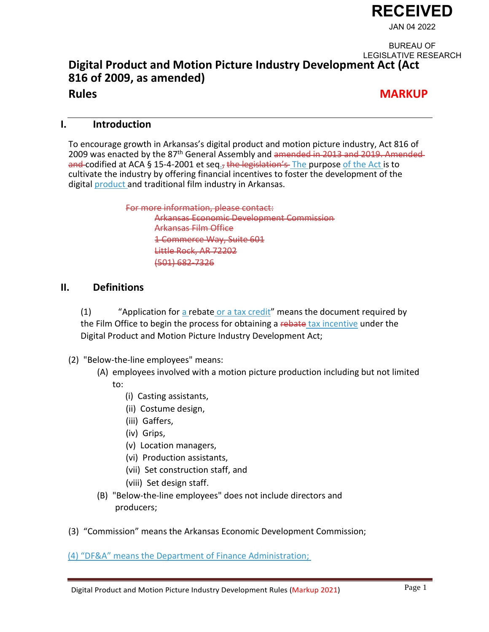

## **Digital Product and Motion Picture Industry Development Act (Act 816 of 2009, as amended) Rules MARKUP** BUREAU OF LEGISLATIVE RESEARCH

#### **I. Introduction**

To encourage growth in Arkansas's digital product and motion picture industry, Act 816 of 2009 was enacted by the 87<sup>th</sup> General Assembly and amended in 2013 and 2019. Amended and codified at ACA § 15-4-2001 et seq<sub>17</sub> the legislation's The purpose of the Act is to cultivate the industry by offering financial incentives to foster the development of the digital product and traditional film industry in Arkansas.

> For more information, please contact: Arkansas Economic Development Commission Arkansas Film Office 1 Commerce Way, Suite 601 Little Rock, AR 72202 (501) 682-7326

#### **II. Definitions**

(1) "Application for a rebate or a tax credit" means the document required by the Film Office to begin the process for obtaining a rebate tax incentive under the Digital Product and Motion Picture Industry Development Act;

- (2) "Below-the-line employees" means:
	- (A) employees involved with a motion picture production including but not limited to:
		- (i) Casting assistants,
		- (ii) Costume design,
		- (iii) Gaffers,
		- (iv) Grips,
		- (v) Location managers,
		- (vi) Production assistants,
		- (vii) Set construction staff, and
		- (viii) Set design staff.
	- (B) "Below-the-line employees" does not include directors and producers;
- (3) "Commission" means the Arkansas Economic Development Commission;

(4) "DF&A" means the Department of Finance Administration;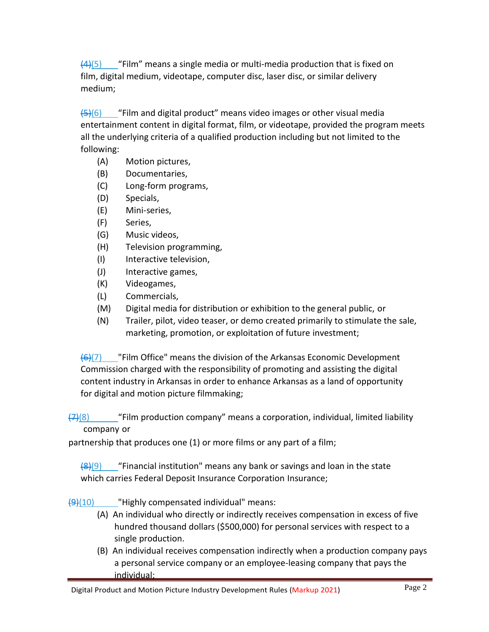$(4)(5)$  "Film" means a single media or multi-media production that is fixed on film, digital medium, videotape, computer disc, laser disc, or similar delivery medium;

 $\left(45\right)(6)$  "Film and digital product" means video images or other visual media entertainment content in digital format, film, or videotape, provided the program meets all the underlying criteria of a qualified production including but not limited to the following:

- (A) Motion pictures,
- (B) Documentaries,
- (C) Long-form programs,
- (D) Specials,
- (E) Mini-series,
- (F) Series,
- (G) Music videos,
- (H) Television programming,
- (I) Interactive television,
- (J) Interactive games,
- (K) Videogames,
- (L) Commercials,
- (M) Digital media for distribution or exhibition to the general public, or
- (N) Trailer, pilot, video teaser, or demo created primarily to stimulate the sale, marketing, promotion, or exploitation of future investment;

 $\left(\frac{1}{2}\right)$  "Film Office" means the division of the Arkansas Economic Development Commission charged with the responsibility of promoting and assisting the digital content industry in Arkansas in order to enhance Arkansas as a land of opportunity for digital and motion picture filmmaking;

 $\frac{7}{28}$  "Film production company" means a corporation, individual, limited liability company or

partnership that produces one (1) or more films or any part of a film;

 $\frac{1}{8}(9)$  "Financial institution" means any bank or savings and loan in the state which carries Federal Deposit Insurance Corporation Insurance;

 $\left(9\right)(10)$  "Highly compensated individual" means:

- (A) An individual who directly or indirectly receives compensation in excess of five hundred thousand dollars (\$500,000) for personal services with respect to a single production.
- (B) An individual receives compensation indirectly when a production company pays a personal service company or an employee-leasing company that pays the individual;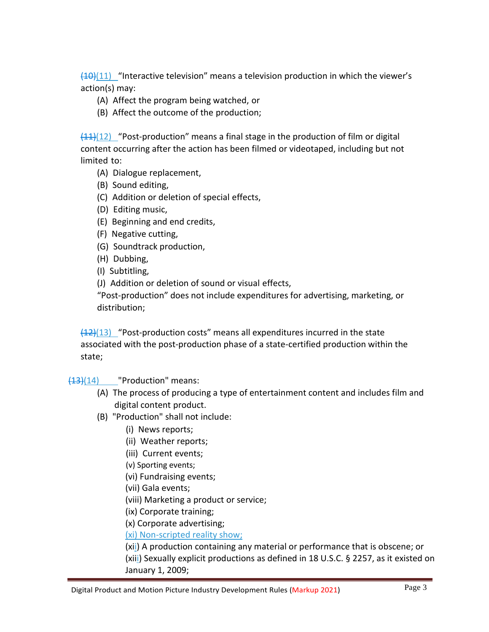$(10)(11)$  "Interactive television" means a television production in which the viewer's action(s) may:

- (A) Affect the program being watched, or
- (B) Affect the outcome of the production;

 $(11)(12)$  "Post-production" means a final stage in the production of film or digital content occurring after the action has been filmed or videotaped, including but not limited to:

- (A) Dialogue replacement,
- (B) Sound editing,
- (C) Addition or deletion of special effects,
- (D) Editing music,
- (E) Beginning and end credits,
- (F) Negative cutting,
- (G) Soundtrack production,
- (H) Dubbing,
- (I) Subtitling,
- (J) Addition or deletion of sound or visual effects,

"Post-production" does not include expenditures for advertising, marketing, or distribution;

 $(12)(13)$  "Post-production costs" means all expenditures incurred in the state associated with the post-production phase of a state-certified production within the state;

(13)(14) "Production" means:

- (A) The process of producing a type of entertainment content and includes film and digital content product.
- (B) "Production" shall not include:
	- (i) News reports;
	- (ii) Weather reports;
	- (iii) Current events;
	- (v) Sporting events;
	- (vi) Fundraising events;
	- (vii) Gala events;
	- (viii) Marketing a product or service;
	- (ix) Corporate training;
	- (x) Corporate advertising;

(xi) Non-scripted reality show;

(xii) A production containing any material or performance that is obscene; or (xiii) Sexually explicit productions as defined in 18 U.S.C. § 2257, as it existed on January 1, 2009;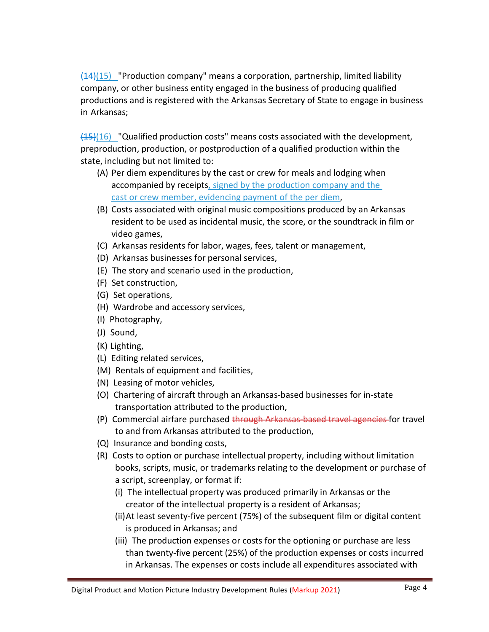$\frac{14}{15}$  "Production company" means a corporation, partnership, limited liability company, or other business entity engaged in the business of producing qualified productions and is registered with the Arkansas Secretary of State to engage in business in Arkansas;

 $(15)(16)$  "Qualified production costs" means costs associated with the development, preproduction, production, or postproduction of a qualified production within the state, including but not limited to:

- (A) Per diem expenditures by the cast or crew for meals and lodging when accompanied by receipts, signed by the production company and the cast or crew member, evidencing payment of the per diem,
- (B) Costs associated with original music compositions produced by an Arkansas resident to be used as incidental music, the score, or the soundtrack in film or video games,
- (C) Arkansas residents for labor, wages, fees, talent or management,
- (D) Arkansas businesses for personal services,
- (E) The story and scenario used in the production,
- (F) Set construction,
- (G) Set operations,
- (H) Wardrobe and accessory services,
- (I) Photography,
- (J) Sound,
- (K) Lighting,
- (L) Editing related services,
- (M) Rentals of equipment and facilities,
- (N) Leasing of motor vehicles,
- (O) Chartering of aircraft through an Arkansas-based businesses for in-state transportation attributed to the production,
- (P) Commercial airfare purchased through Arkansas-based travel agencies for travel to and from Arkansas attributed to the production,
- (Q) Insurance and bonding costs,
- (R) Costs to option or purchase intellectual property, including without limitation books, scripts, music, or trademarks relating to the development or purchase of a script, screenplay, or format if:
	- (i) The intellectual property was produced primarily in Arkansas or the creator of the intellectual property is a resident of Arkansas;
	- (ii)At least seventy-five percent (75%) of the subsequent film or digital content is produced in Arkansas; and
	- (iii) The production expenses or costs for the optioning or purchase are less than twenty-five percent (25%) of the production expenses or costs incurred in Arkansas. The expenses or costs include all expenditures associated with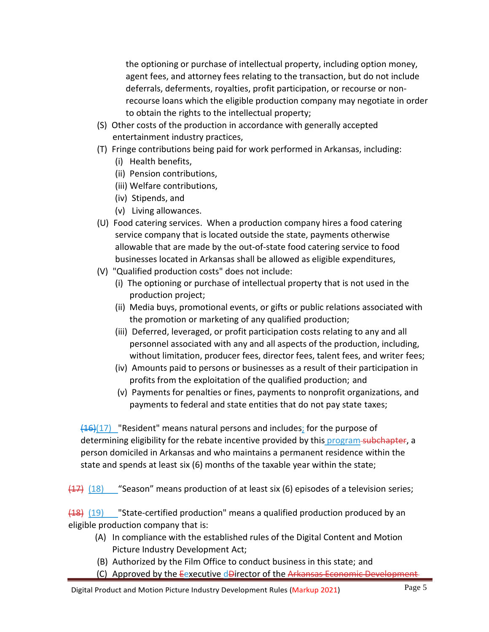the optioning or purchase of intellectual property, including option money, agent fees, and attorney fees relating to the transaction, but do not include deferrals, deferments, royalties, profit participation, or recourse or nonrecourse loans which the eligible production company may negotiate in order to obtain the rights to the intellectual property;

- (S) Other costs of the production in accordance with generally accepted entertainment industry practices,
- (T) Fringe contributions being paid for work performed in Arkansas, including:
	- (i) Health benefits,
	- (ii) Pension contributions,
	- (iii) Welfare contributions,
	- (iv) Stipends, and
	- (v) Living allowances.
- (U) Food catering services. When a production company hires a food catering service company that is located outside the state, payments otherwise allowable that are made by the out-of-state food catering service to food businesses located in Arkansas shall be allowed as eligible expenditures,
- (V) "Qualified production costs" does not include:
	- (i) The optioning or purchase of intellectual property that is not used in the production project;
	- (ii) Media buys, promotional events, or gifts or public relations associated with the promotion or marketing of any qualified production;
	- (iii) Deferred, leveraged, or profit participation costs relating to any and all personnel associated with any and all aspects of the production, including, without limitation, producer fees, director fees, talent fees, and writer fees;
	- (iv) Amounts paid to persons or businesses as a result of their participation in profits from the exploitation of the qualified production; and
	- (v) Payments for penalties or fines, payments to nonprofit organizations, and payments to federal and state entities that do not pay state taxes;

 $\frac{(16)(17)}{2}$  "Resident" means natural persons and includes; for the purpose of determining eligibility for the rebate incentive provided by this program-subchapter, a person domiciled in Arkansas and who maintains a permanent residence within the state and spends at least six (6) months of the taxable year within the state;

 $(17)$   $(18)$  "Season" means production of at least six (6) episodes of a television series;

(18) (19) "State-certified production" means a qualified production produced by an eligible production company that is:

- (A) In compliance with the established rules of the Digital Content and Motion Picture Industry Development Act;
- (B) Authorized by the Film Office to conduct business in this state; and
- (C) Approved by the Eexecutive dDirector of the Arkansas Econom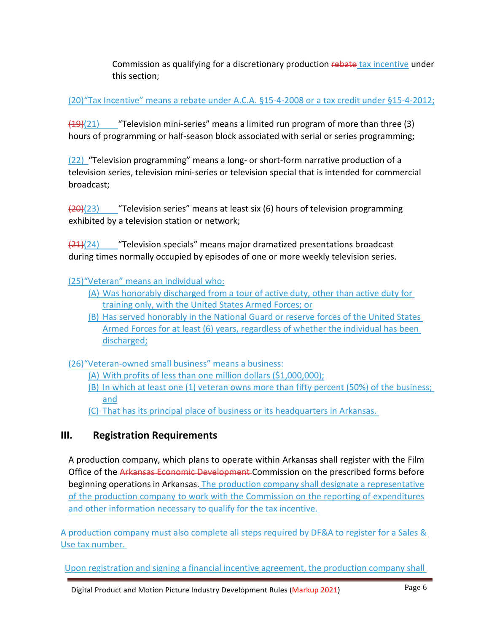Commission as qualifying for a discretionary production rebate tax incentive under this section;

(20)"Tax Incentive" means a rebate under A.C.A. §15-4-2008 or a tax credit under §15-4-2012;

 $(19)(21)$  "Television mini-series" means a limited run program of more than three (3) hours of programming or half-season block associated with serial or series programming;

(22) "Television programming" means a long- or short-form narrative production of a television series, television mini-series or television special that is intended for commercial broadcast;

 $\frac{120}{20}$ (23) "Television series" means at least six (6) hours of television programming exhibited by a television station or network;

 $\frac{21}{24}$ (24) "Television specials" means major dramatized presentations broadcast during times normally occupied by episodes of one or more weekly television series.

#### (25)"Veteran" means an individual who:

- (A) Was honorably discharged from a tour of active duty, other than active duty for training only, with the United States Armed Forces; or
- (B) Has served honorably in the National Guard or reserve forces of the United States Armed Forces for at least (6) years, regardless of whether the individual has been discharged;

(26)"Veteran-owned small business" means a business:

- (A) With profits of less than one million dollars (\$1,000,000);
- (B) In which at least one (1) veteran owns more than fifty percent (50%) of the business; and
- (C) That has its principal place of business or its headquarters in Arkansas.

## **III. Registration Requirements**

A production company, which plans to operate within Arkansas shall register with the Film Office of the Arkansas Economic Development Commission on the prescribed forms before beginning operations in Arkansas. The production company shall designate a representative of the production company to work with the Commission on the reporting of expenditures and other information necessary to qualify for the tax incentive.

A production company must also complete all steps required by DF&A to register for a Sales & Use tax number.

Upon registration and signing a financial incentive agreement, the production company shall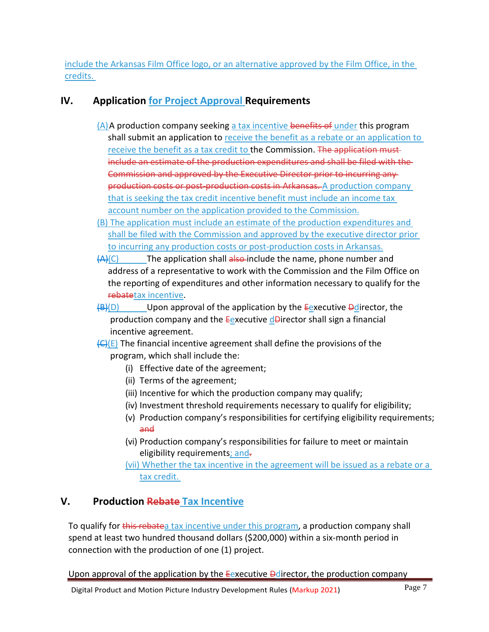include the Arkansas Film Office logo, or an alternative approved by the Film Office, in the credits.

## **IV. Application for Project Approval Requirements**

- $(A)$  A production company seeking a tax incentive benefits of under this program shall submit an application to receive the benefit as a rebate or an application to receive the benefit as a tax credit to the Commission. The application mustinclude an estimate of the production expenditures and shall be filed with the Commission and approved by the Executive Director prior to incurring any production costs or post-production costs in Arkansas. A production company that is seeking the tax credit incentive benefit must include an income tax account number on the application provided to the Commission.
- (B) The application must include an estimate of the production expenditures and shall be filed with the Commission and approved by the executive director prior to incurring any production costs or post-production costs in Arkansas.
- $(A)(C)$  The application shall also-include the name, phone number and address of a representative to work with the Commission and the Film Office on the reporting of expenditures and other information necessary to qualify for the rebatetax incentive.
- $\overline{B(D)}$  Upon approval of the application by the Eexecutive Dedirector, the production company and the **E**executive d**D**irector shall sign a financial incentive agreement.
- $(E)(E)$  The financial incentive agreement shall define the provisions of the program, which shall include the:
	- (i) Effective date of the agreement;
	- (ii) Terms of the agreement;
	- (iii) Incentive for which the production company may qualify;
	- (iv) Investment threshold requirements necessary to qualify for eligibility;
	- (v) Production company's responsibilities for certifying eligibility requirements; and
	- (vi) Production company's responsibilities for failure to meet or maintain eligibility requirements; and-

(vii) Whether the tax incentive in the agreement will be issued as a rebate or a tax credit.

## **V. Production Rebate Tax Incentive**

To qualify for this rebated tax incentive under this program, a production company shall spend at least two hundred thousand dollars (\$200,000) within a six-month period in connection with the production of one (1) project.

Upon approval of the application by the **E**executive **Dedirector**, the production company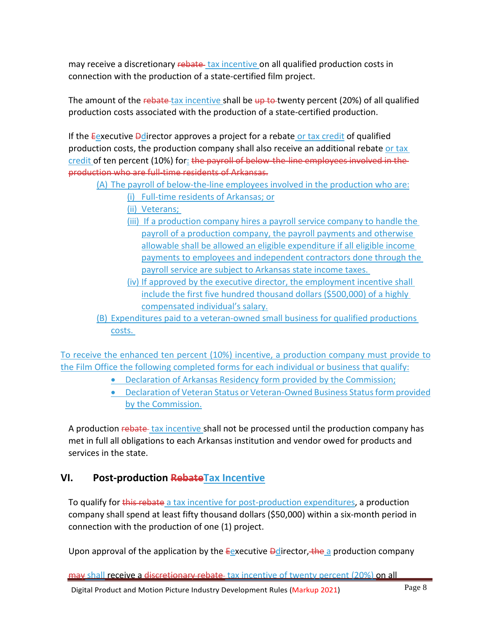may receive a discretionary rebate tax incentive on all qualified production costs in connection with the production of a state-certified film project.

The amount of the rebate-tax incentive shall be up to twenty percent (20%) of all qualified production costs associated with the production of a state-certified production.

If the Eexecutive Dedirector approves a project for a rebate or tax credit of qualified production costs, the production company shall also receive an additional rebate or tax credit of ten percent (10%) for: the payroll of below the line employees involved in theproduction who are full-time residents of Arkansas.

(A) The payroll of below-the-line employees involved in the production who are:

(i) Full-time residents of Arkansas; or

(ii) Veterans;

- (iii) If a production company hires a payroll service company to handle the payroll of a production company, the payroll payments and otherwise allowable shall be allowed an eligible expenditure if all eligible income payments to employees and independent contractors done through the payroll service are subject to Arkansas state income taxes.
- (iv) If approved by the executive director, the employment incentive shall include the first five hundred thousand dollars (\$500,000) of a highly compensated individual's salary.
- (B) Expenditures paid to a veteran-owned small business for qualified productions costs.

To receive the enhanced ten percent (10%) incentive, a production company must provide to the Film Office the following completed forms for each individual or business that qualify:

- Declaration of Arkansas Residency form provided by the Commission;
- Declaration of Veteran Status or Veteran-Owned Business Status form provided by the Commission.

A production rebate tax incentive shall not be processed until the production company has met in full all obligations to each Arkansas institution and vendor owed for products and services in the state.

## **VI. Post-production RebateTax Incentive**

To qualify for this rebate a tax incentive for post-production expenditures, a production company shall spend at least fifty thousand dollars (\$50,000) within a six-month period in connection with the production of one (1) project.

Upon approval of the application by the  $E$ executive  $\frac{1}{2}$  director, the a production company

may shall receive a discretionary rebate tax incentive of twenty percent (20%) on all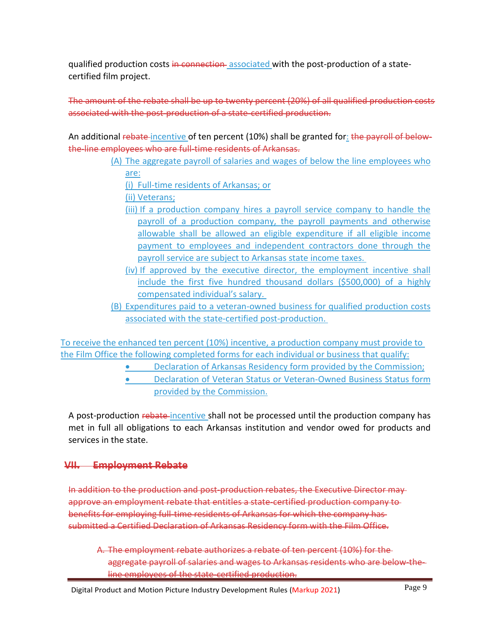qualified production costs in connection associated with the post-production of a statecertified film project.

The amount of the rebate shall be up to twenty percent (20%) of all qualified production costs associated with the post-production of a state-certified production.

An additional rebate incentive of ten percent (10%) shall be granted for: the payroll of belowthe-line employees who are full-time residents of Arkansas.

> (A) The aggregate payroll of salaries and wages of below the line employees who are:

(i) Full-time residents of Arkansas; or

(ii) Veterans;

- (iii) If a production company hires a payroll service company to handle the payroll of a production company, the payroll payments and otherwise allowable shall be allowed an eligible expenditure if all eligible income payment to employees and independent contractors done through the payroll service are subject to Arkansas state income taxes.
- (iv) If approved by the executive director, the employment incentive shall include the first five hundred thousand dollars (\$500,000) of a highly compensated individual's salary.
- (B) Expenditures paid to a veteran-owned business for qualified production costs associated with the state-certified post-production.

To receive the enhanced ten percent (10%) incentive, a production company must provide to the Film Office the following completed forms for each individual or business that qualify:

- Declaration of Arkansas Residency form provided by the Commission;
- Declaration of Veteran Status or Veteran-Owned Business Status form provided by the Commission.

A post-production rebate incentive shall not be processed until the production company has met in full all obligations to each Arkansas institution and vendor owed for products and services in the state.

## **VII. Employment Rebate**

In addition to the production and post-production rebates, the Executive Director may approve an employment rebate that entitles a state-certified production company to benefits for employing full-time residents of Arkansas for which the company has submitted a Certified Declaration of Arkansas Residency form with the Film Office.

A. The employment rebate authorizes a rebate of ten percent (10%) for the aggregate payroll of salaries and wages to Arkansas residents who are below-theline employees of the state-certified production.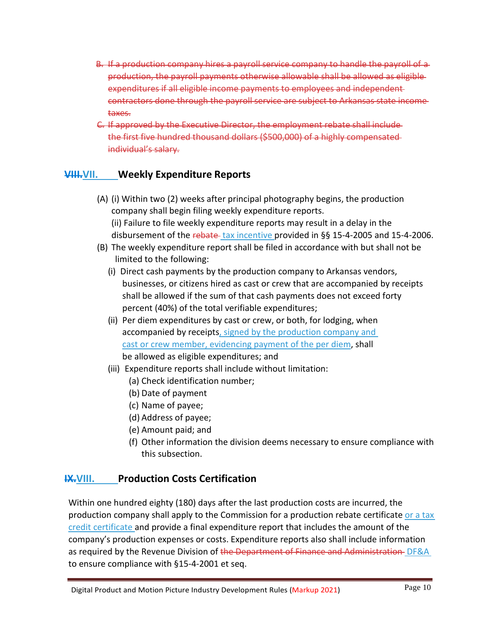- If a production company hires a payroll service company production, the payroll payments otherwise expenditures if all eligible income payments to employees and independent contractors done through the payroll service are subject to Arkansas taxes.
- C. If approved by the Executive Director, the employment the first five hundred thousand dollars (\$500,000) of a highly individual's salary.

## **VIII.VII. Weekly Expenditure Reports**

(A) (i) Within two (2) weeks after principal photography begins, the production company shall begin filing weekly expenditure reports. (ii) Failure to file weekly expenditure reports may result in a delay in the

disbursement of the rebate tax incentive provided in §§ 15-4-2005 and 15-4-2006.

- (B) The weekly expenditure report shall be filed in accordance with but shall not be limited to the following:
	- (i) Direct cash payments by the production company to Arkansas vendors, businesses, or citizens hired as cast or crew that are accompanied by receipts shall be allowed if the sum of that cash payments does not exceed forty percent (40%) of the total verifiable expenditures;
	- (ii) Per diem expenditures by cast or crew, or both, for lodging, when accompanied by receipts, signed by the production company and cast or crew member, evidencing payment of the per diem, shall be allowed as eligible expenditures; and
	- (iii) Expenditure reports shall include without limitation:
		- (a) Check identification number;
		- (b) Date of payment
		- (c) Name of payee;
		- (d) Address of payee;
		- (e) Amount paid; and
		- (f) Other information the division deems necessary to ensure compliance with this subsection.

## **IX.VIII. Production Costs Certification**

Within one hundred eighty (180) days after the last production costs are incurred, the production company shall apply to the Commission for a production rebate certificate or a tax credit certificate and provide a final expenditure report that includes the amount of the company's production expenses or costs. Expenditure reports also shall include information as required by the Revenue Division of the Department of Finance and Administration DF&A to ensure compliance with §15-4-2001 et seq.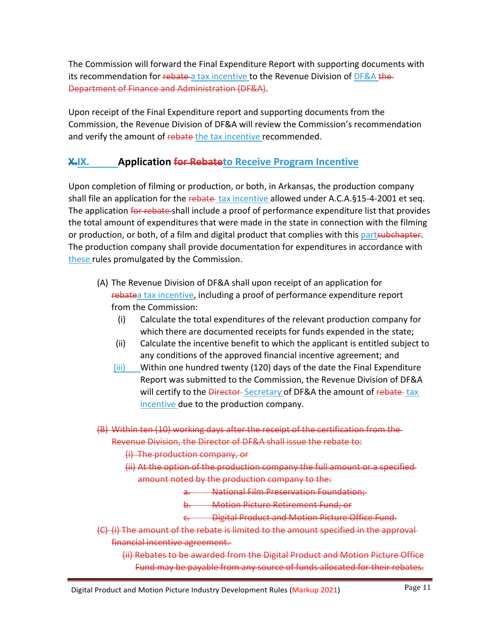The Commission will forward the Final Expenditure Report with supporting documents with its recommendation for rebate-a tax incentive to the Revenue Division of DF&A the-Department of Finance and Administration (DF&A).

Upon receipt of the Final Expenditure report and supporting documents from the Commission, the Revenue Division of DF&A will review the Commission's recommendation and verify the amount of rebate the tax incentive recommended.

## **X.IX. Application for Rebateto Receive Program Incentive**

Upon completion of filming or production, or both, in Arkansas, the production company shall file an application for the rebate tax incentive allowed under  $A.C.A.\S15-4-2001$  et seq. The application for rebate-shall include a proof of performance expenditure list that provides the total amount of expenditures that were made in the state in connection with the filming or production, or both, of a film and digital product that complies with this partsubchapter. The production company shall provide documentation for expenditures in accordance with these rules promulgated by the Commission.

- (A) The Revenue Division of DF&A shall upon receipt of an application for rebatea tax incentive, including a proof of performance expenditure report from the Commission:
	- (i) Calculate the total expenditures of the relevant production company for which there are documented receipts for funds expended in the state;
	- (ii) Calculate the incentive benefit to which the applicant is entitled subject to any conditions of the approved financial incentive agreement; and
	- (iii) Within one hundred twenty (120) days of the date the Final Expenditure Report was submitted to the Commission, the Revenue Division of DF&A will certify to the *Director-Secretary* of DF&A the amount of rebate-tax incentive due to the production company.

(B) Within ten (10) working days after the receipt of the certification from the Revenue Division, the Director of DF&A shall issue the rebate to:

- (i) The production company, or
- (ii) At the option of the production company the full amount or a specified amount noted by the production company to the:
	- a. National Film Preservation Foundation;
	- b. Motion Picture Retirement Fund; or
	- c. Digital Product and Motion Picture Office Fund.
- (C) (i) The amount of the rebate is limited to the amount specified in the approval financial incentive agreement.
	- (ii) Rebates to be awarded from the Digital Product and Motion Picture Office Fund may be payable from any source of funds allocated for their rebates.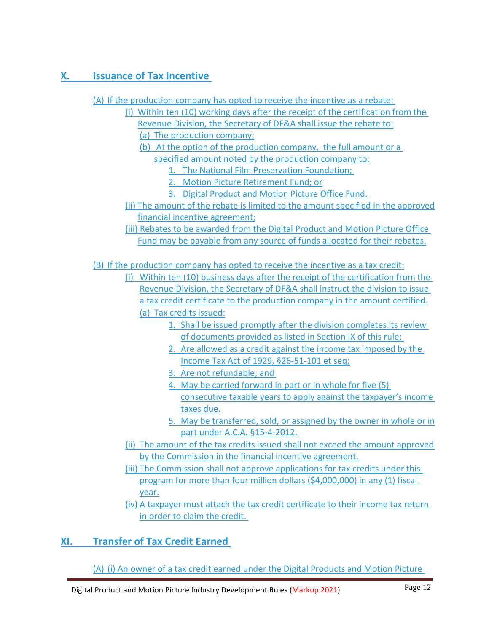# **X. Issuance of Tax Incentive**

(A) If the production company has opted to receive the incentive as a rebate:

(i) Within ten (10) working days after the receipt of the certification from the Revenue Division, the Secretary of DF&A shall issue the rebate to: (a) The production company;

(b) At the option of the production company, the full amount or a specified amount noted by the production company to:

1. The National Film Preservation Foundation;

2. Motion Picture Retirement Fund; or

- 3. Digital Product and Motion Picture Office Fund.
- (ii) The amount of the rebate is limited to the amount specified in the approved financial incentive agreement;

(iii) Rebates to be awarded from the Digital Product and Motion Picture Office Fund may be payable from any source of funds allocated for their rebates.

(B) If the production company has opted to receive the incentive as a tax credit:

(i) Within ten (10) business days after the receipt of the certification from the Revenue Division, the Secretary of DF&A shall instruct the division to issue a tax credit certificate to the production company in the amount certified. (a) Tax credits issued:

- 1. Shall be issued promptly after the division completes its review of documents provided as listed in Section IX of this rule;
- 2. Are allowed as a credit against the income tax imposed by the Income Tax Act of 1929, §26-51-101 et seq;
- 3. Are not refundable; and
- 4. May be carried forward in part or in whole for five (5) consecutive taxable years to apply against the taxpayer's income taxes due.
- 5. May be transferred, sold, or assigned by the owner in whole or in part under A.C.A. §15-4-2012.
- (ii) The amount of the tax credits issued shall not exceed the amount approved by the Commission in the financial incentive agreement.
- (iii) The Commission shall not approve applications for tax credits under this program for more than four million dollars (\$4,000,000) in any (1) fiscal year.

(iv) A taxpayer must attach the tax credit certificate to their income tax return in order to claim the credit.

# **XI. Transfer of Tax Credit Earned**

(A) (i) An owner of a tax credit earned under the Digital Products and Motion Picture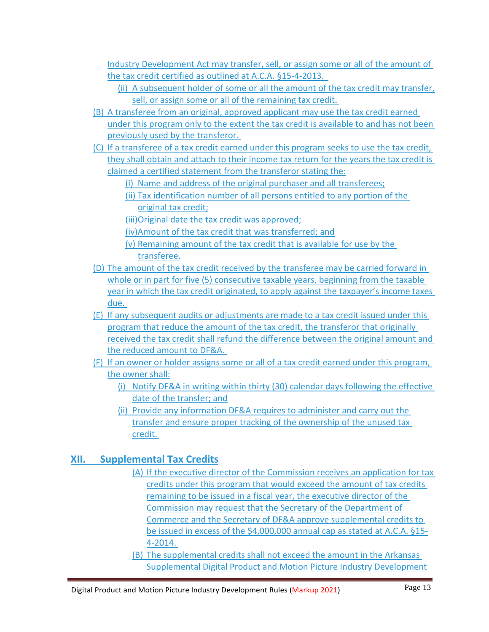Industry Development Act may transfer, sell, or assign some or all of the amount of the tax credit certified as outlined at A.C.A. §15-4-2013.

- (ii) A subsequent holder of some or all the amount of the tax credit may transfer, sell, or assign some or all of the remaining tax credit.
- (B) A transferee from an original, approved applicant may use the tax credit earned under this program only to the extent the tax credit is available to and has not been previously used by the transferor.
- (C) If a transferee of a tax credit earned under this program seeks to use the tax credit, they shall obtain and attach to their income tax return for the years the tax credit is claimed a certified statement from the transferor stating the:
	- (i) Name and address of the original purchaser and all transferees;
	- (ii) Tax identification number of all persons entitled to any portion of the original tax credit;
	- (iii)Original date the tax credit was approved;
	- (iv)Amount of the tax credit that was transferred; and
	- (v) Remaining amount of the tax credit that is available for use by the transferee.
- (D) The amount of the tax credit received by the transferee may be carried forward in whole or in part for five (5) consecutive taxable years, beginning from the taxable year in which the tax credit originated, to apply against the taxpayer's income taxes due.
- (E) If any subsequent audits or adjustments are made to a tax credit issued under this program that reduce the amount of the tax credit, the transferor that originally received the tax credit shall refund the difference between the original amount and the reduced amount to DF&A.
- (F) If an owner or holder assigns some or all of a tax credit earned under this program, the owner shall:
	- (i) Notify DF&A in writing within thirty (30) calendar days following the effective date of the transfer; and
	- (ii) Provide any information DF&A requires to administer and carry out the transfer and ensure proper tracking of the ownership of the unused tax credit.

## **XII. Supplemental Tax Credits**

- (A) If the executive director of the Commission receives an application for tax credits under this program that would exceed the amount of tax credits remaining to be issued in a fiscal year, the executive director of the Commission may request that the Secretary of the Department of Commerce and the Secretary of DF&A approve supplemental credits to be issued in excess of the \$4,000,000 annual cap as stated at A.C.A. §15- 4-2014.
- (B) The supplemental credits shall not exceed the amount in the Arkansas Supplemental Digital Product and Motion Picture Industry Development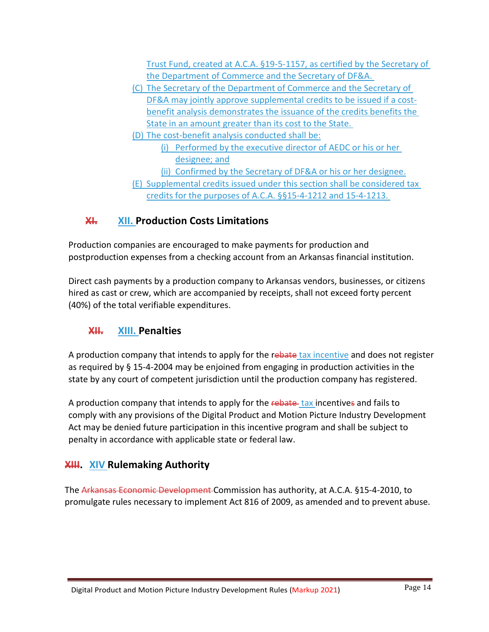Trust Fund, created at A.C.A. §19-5-1157, as certified by the Secretary of the Department of Commerce and the Secretary of DF&A.

- (C) The Secretary of the Department of Commerce and the Secretary of DF&A may jointly approve supplemental credits to be issued if a costbenefit analysis demonstrates the issuance of the credits benefits the State in an amount greater than its cost to the State.
- (D) The cost-benefit analysis conducted shall be:
	- (i) Performed by the executive director of AEDC or his or her designee; and
	- (ii) Confirmed by the Secretary of DF&A or his or her designee.
- (E) Supplemental credits issued under this section shall be considered tax credits for the purposes of A.C.A. §§15-4-1212 and 15-4-1213.

## **XI. XII. Production Costs Limitations**

Production companies are encouraged to make payments for production and postproduction expenses from a checking account from an Arkansas financial institution.

Direct cash payments by a production company to Arkansas vendors, businesses, or citizens hired as cast or crew, which are accompanied by receipts, shall not exceed forty percent (40%) of the total verifiable expenditures.

## **XII. XIII. Penalties**

A production company that intends to apply for the rebate tax incentive and does not register as required by § 15-4-2004 may be enjoined from engaging in production activities in the state by any court of competent jurisdiction until the production company has registered.

A production company that intends to apply for the rebate tax incentives and fails to comply with any provisions of the Digital Product and Motion Picture Industry Development Act may be denied future participation in this incentive program and shall be subject to penalty in accordance with applicable state or federal law.

## **XIII. XIV Rulemaking Authority**

The Arkansas Economic Development Commission has authority, at A.C.A. §15-4-2010, to promulgate rules necessary to implement Act 816 of 2009, as amended and to prevent abuse.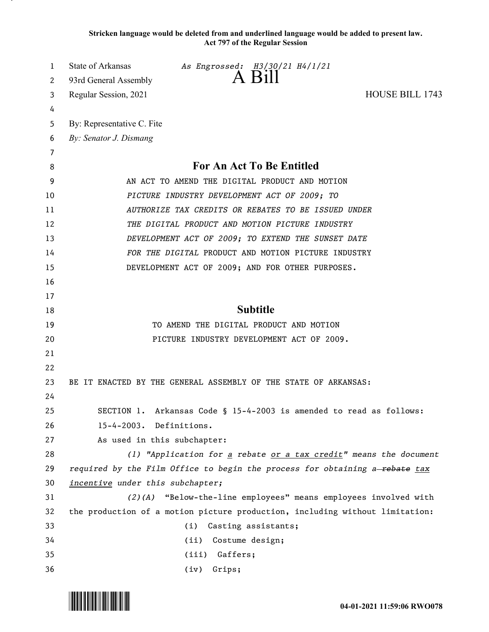**Stricken language would be deleted from and underlined language would be added to present law. Act 797 of the Regular Session**

| 1        | State of Arkansas<br>As Engrossed: H3/30/21 H4/1/21                          |
|----------|------------------------------------------------------------------------------|
| 2        | 93rd General Assembly                                                        |
| 3        | <b>HOUSE BILL 1743</b><br>Regular Session, 2021                              |
| 4        |                                                                              |
| 5        | By: Representative C. Fite                                                   |
| 6<br>7   | By: Senator J. Dismang                                                       |
| 8        | For An Act To Be Entitled                                                    |
| 9        | AN ACT TO AMEND THE DIGITAL PRODUCT AND MOTION                               |
| 10       | PICTURE INDUSTRY DEVELOPMENT ACT OF 2009; TO                                 |
| 11       | AUTHORIZE TAX CREDITS OR REBATES TO BE ISSUED UNDER                          |
| 12       | THE DIGITAL PRODUCT AND MOTION PICTURE INDUSTRY                              |
| 13       | DEVELOPMENT ACT OF 2009; TO EXTEND THE SUNSET DATE                           |
| 14       | FOR THE DIGITAL PRODUCT AND MOTION PICTURE INDUSTRY                          |
| 15       | DEVELOPMENT ACT OF 2009; AND FOR OTHER PURPOSES.                             |
| 16       |                                                                              |
| 17       |                                                                              |
| 18       | <b>Subtitle</b>                                                              |
| 19       | TO AMEND THE DIGITAL PRODUCT AND MOTION                                      |
| 20       | PICTURE INDUSTRY DEVELOPMENT ACT OF 2009.                                    |
| 21       |                                                                              |
| 22       |                                                                              |
| 23       | BE IT ENACTED BY THE GENERAL ASSEMBLY OF THE STATE OF ARKANSAS:              |
| 24       |                                                                              |
| 25       | SECTION 1. Arkansas Code § 15-4-2003 is amended to read as follows:          |
| 26       | 15-4-2003. Definitions.                                                      |
| 27       | As used in this subchapter:                                                  |
| 28       | (1) "Application for a rebate $or$ a tax credit" means the document          |
| 29       | required by the Film Office to begin the process for obtaining a-rebate tax  |
| 30       | incentive under this subchapter;                                             |
| 31       | (2)(A) "Below-the-line employees" means employees involved with              |
|          |                                                                              |
| 32       | the production of a motion picture production, including without limitation: |
| 33       | Casting assistants;<br>(i)                                                   |
| 34<br>35 | Costume design;<br>(ii)<br>Gaffers;<br>(iii)                                 |

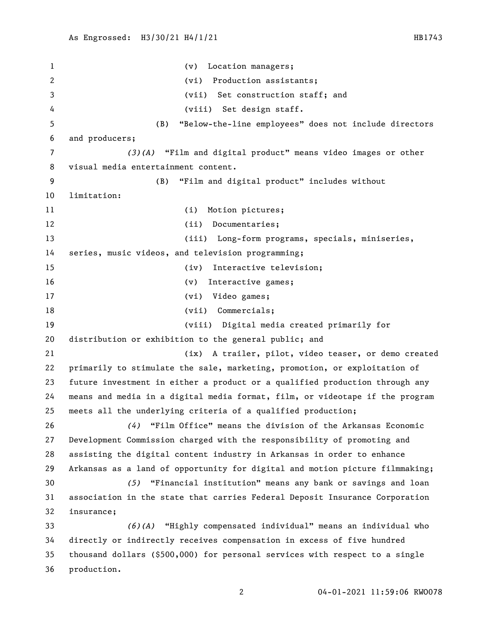(v) Location managers; (vi) Production assistants; (vii) Set construction staff; and (viii) Set design staff. (B) "Below-the-line employees" does not include directors and producers; *(3)(A)* "Film and digital product" means video images or other visual media entertainment content. (B) "Film and digital product" includes without limitation: 11 (i) Motion pictures; 12 (ii) Documentaries; (iii) Long-form programs, specials, miniseries, series, music videos, and television programming; (iv) Interactive television; 16 (v) Interactive games; 17 (vi) Video games; 18 (vii) Commercials; (viii) Digital media created primarily for distribution or exhibition to the general public; and (ix) A trailer, pilot, video teaser, or demo created primarily to stimulate the sale, marketing, promotion, or exploitation of future investment in either a product or a qualified production through any means and media in a digital media format, film, or videotape if the program meets all the underlying criteria of a qualified production; *(4)* "Film Office" means the division of the Arkansas Economic Development Commission charged with the responsibility of promoting and assisting the digital content industry in Arkansas in order to enhance Arkansas as a land of opportunity for digital and motion picture filmmaking; *(5)* "Financial institution" means any bank or savings and loan association in the state that carries Federal Deposit Insurance Corporation insurance; *(6)(A)* "Highly compensated individual" means an individual who directly or indirectly receives compensation in excess of five hundred thousand dollars (\$500,000) for personal services with respect to a single production.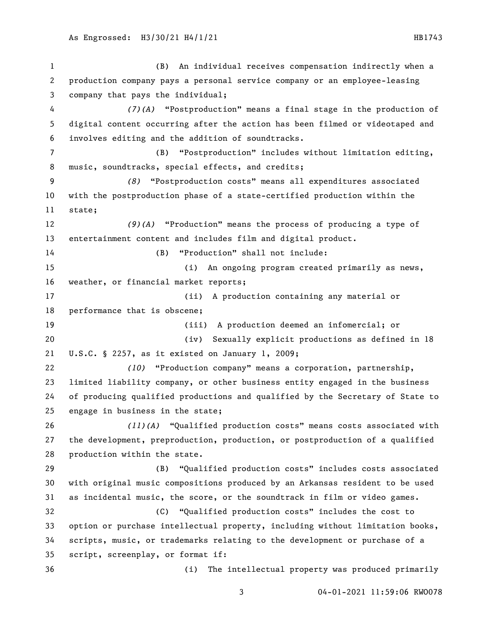(B) An individual receives compensation indirectly when a production company pays a personal service company or an employee-leasing company that pays the individual; *(7)(A)* "Postproduction" means a final stage in the production of digital content occurring after the action has been filmed or videotaped and involves editing and the addition of soundtracks. (B) "Postproduction" includes without limitation editing, music, soundtracks, special effects, and credits; *(8)* "Postproduction costs" means all expenditures associated with the postproduction phase of a state-certified production within the state; *(9)(A)* "Production" means the process of producing a type of entertainment content and includes film and digital product. (B) "Production" shall not include: (i) An ongoing program created primarily as news, weather, or financial market reports; (ii) A production containing any material or performance that is obscene; (iii) A production deemed an infomercial; or (iv) Sexually explicit productions as defined in 18 U.S.C. § 2257, as it existed on January 1, 2009; *(10)* "Production company" means a corporation, partnership, limited liability company, or other business entity engaged in the business of producing qualified productions and qualified by the Secretary of State to engage in business in the state; *(11)(A)* "Qualified production costs" means costs associated with the development, preproduction, production, or postproduction of a qualified production within the state. (B) "Qualified production costs" includes costs associated with original music compositions produced by an Arkansas resident to be used as incidental music, the score, or the soundtrack in film or video games. (C) "Qualified production costs" includes the cost to option or purchase intellectual property, including without limitation books, scripts, music, or trademarks relating to the development or purchase of a script, screenplay, or format if: (i) The intellectual property was produced primarily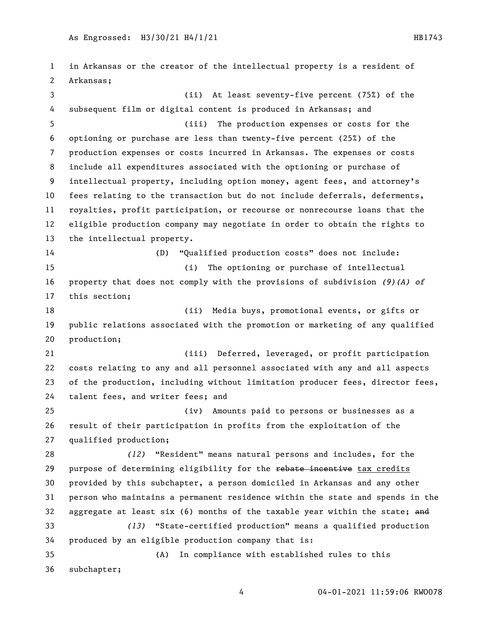in Arkansas or the creator of the intellectual property is a resident of Arkansas; (ii) At least seventy-five percent (75%) of the subsequent film or digital content is produced in Arkansas; and (iii) The production expenses or costs for the optioning or purchase are less than twenty-five percent (25%) of the production expenses or costs incurred in Arkansas. The expenses or costs include all expenditures associated with the optioning or purchase of intellectual property, including option money, agent fees, and attorney's fees relating to the transaction but do not include deferrals, deferments, royalties, profit participation, or recourse or nonrecourse loans that the eligible production company may negotiate in order to obtain the rights to the intellectual property. (D) "Qualified production costs" does not include: (i) The optioning or purchase of intellectual property that does not comply with the provisions of subdivision *(9)(A) of* this section; (ii) Media buys, promotional events, or gifts or public relations associated with the promotion or marketing of any qualified production; (iii) Deferred, leveraged, or profit participation costs relating to any and all personnel associated with any and all aspects of the production, including without limitation producer fees, director fees, talent fees, and writer fees; and (iv) Amounts paid to persons or businesses as a result of their participation in profits from the exploitation of the qualified production; *(12)* "Resident" means natural persons and includes, for the 29 purpose of determining eligibility for the rebate incentive tax credits provided by this subchapter, a person domiciled in Arkansas and any other person who maintains a permanent residence within the state and spends in the 32 aggregate at least six  $(6)$  months of the taxable year within the state; and *(13)* "State-certified production" means a qualified production produced by an eligible production company that is: (A) In compliance with established rules to this subchapter;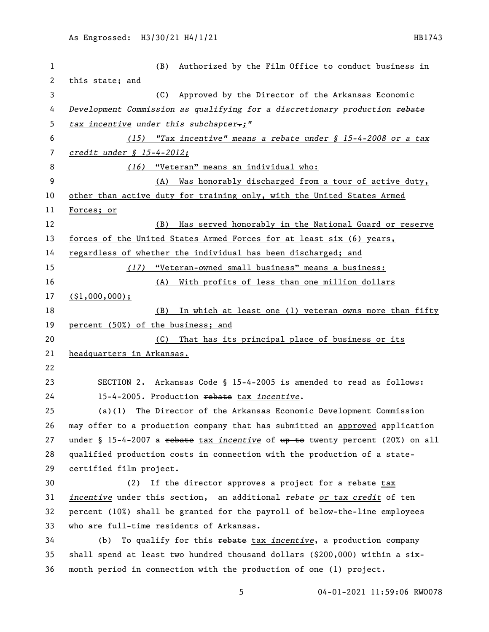| $\mathbf{1}$ | Authorized by the Film Office to conduct business in<br>(B)                     |
|--------------|---------------------------------------------------------------------------------|
| $\mathbf{2}$ | this state; and                                                                 |
| 3            | (C) Approved by the Director of the Arkansas Economic                           |
| 4            | Development Commission as qualifying for a discretionary production rebate      |
| 5            | tax incentive under this subchapter-;"                                          |
| 6            | (15) "Tax incentive" means a rebate under $\int$ 15-4-2008 or a tax             |
| 7            | $credit$ under § $15-4-2012$ ;                                                  |
| 8            | (16) "Veteran" means an individual who:                                         |
| 9            | Was honorably discharged from a tour of active duty,<br>(A)                     |
| 10           | other than active duty for training only, with the United States Armed          |
| 11           | Forces; or                                                                      |
| 12           | Has served honorably in the National Guard or reserve<br>(B)                    |
| 13           | forces of the United States Armed Forces for at least six (6) years,            |
| 14           | regardless of whether the individual has been discharged; and                   |
| 15           | (17) "Veteran-owned small business" means a business:                           |
| 16           | With profits of less than one million dollars<br>(A)                            |
| 17           | $($ \$1,000,000);                                                               |
| 18           | (B)<br>In which at least one (1) veteran owns more than fifty                   |
| 19           | percent (50%) of the business; and                                              |
| 20           | That has its principal place of business or its<br>(C)                          |
| 21           | headquarters in Arkansas.                                                       |
| 22           |                                                                                 |
| 23           | SECTION 2. Arkansas Code § 15-4-2005 is amended to read as follows:             |
| 24           | 15-4-2005. Production rebate tax incentive.                                     |
| 25           | (a)(1) The Director of the Arkansas Economic Development Commission             |
| 26           | may offer to a production company that has submitted an approved application    |
| 27           | under § 15-4-2007 a rebate tax incentive of $up$ to twenty percent (20%) on all |
| 28           | qualified production costs in connection with the production of a state-        |
| 29           | certified film project.                                                         |
| 30           | If the director approves a project for a rebate tax<br>(2)                      |
| 31           | incentive under this section, an additional rebate or tax credit of ten         |
| 32           | percent (10%) shall be granted for the payroll of below-the-line employees      |
| 33           | who are full-time residents of Arkansas.                                        |
| 34           | To qualify for this rebate tax incentive, a production company<br>(b)           |
| 35           | shall spend at least two hundred thousand dollars (\$200,000) within a six-     |
| 36           | month period in connection with the production of one (1) project.              |
|              |                                                                                 |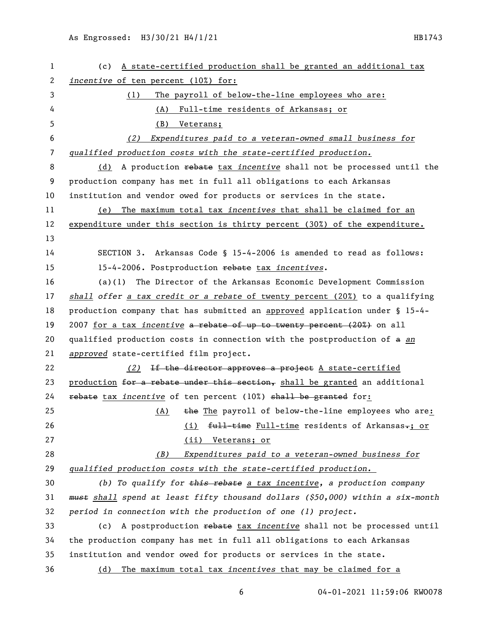| 1            | A state-certified production shall be granted an additional tax<br>(c)                    |
|--------------|-------------------------------------------------------------------------------------------|
| $\mathbf{2}$ | <i>incentive</i> of ten percent (10%) for:                                                |
| 3            | The payroll of below-the-line employees who are:<br>(1)                                   |
| 4            | Full-time residents of Arkansas; or<br>(A)                                                |
| 5            | (B)<br>Veterans;                                                                          |
| 6            | Expenditures paid to a veteran-owned small business for<br>(2)                            |
| 7            | qualified production costs with the state-certified production.                           |
| 8            | A production rebate tax incentive shall not be processed until the<br>(d)                 |
| 9            | production company has met in full all obligations to each Arkansas                       |
| 10           | institution and vendor owed for products or services in the state.                        |
| 11           | The maximum total tax incentives that shall be claimed for an<br>(e)                      |
| 12           | expenditure under this section is thirty percent (30%) of the expenditure.                |
| 13           |                                                                                           |
| 14           | SECTION 3. Arkansas Code § 15-4-2006 is amended to read as follows:                       |
| 15           | 15-4-2006. Postproduction rebate tax incentives.                                          |
| 16           | The Director of the Arkansas Economic Development Commission<br>(a)(1)                    |
| 17           | shall offer a tax credit or a rebate of twenty percent $(20\%)$ to a qualifying           |
| 18           | production company that has submitted an approved application under § 15-4-               |
| 19           | 2007 for a tax incentive a rebate of up to twenty percent (20%) on all                    |
| 20           | qualified production costs in connection with the postproduction of a an                  |
| 21           | approved state-certified film project.                                                    |
| 22           | (2)<br>If the director approves a project A state-certified                               |
| 23           | production for a rebate under this section, shall be granted an additional                |
| 24           | rebate tax incentive of ten percent (10%) shall be granted for:                           |
| 25           | the The payroll of below-the-line employees who are:<br>(A)                               |
| 26           | full-time Full-time residents of Arkansas-; or<br>(i)                                     |
| 27           | (ii) Veterans; or                                                                         |
| 28           | Expenditures paid to a veteran-owned business for<br>(B)                                  |
| 29           | qualified production costs with the state-certified production.                           |
| 30           | (b) To qualify for $\frac{1}{2}$ this rebate a tax incentive, a production company        |
| 31           | <del>must</del> shall spend at least fifty thousand dollars (\$50,000) within a six-month |
| 32           | period in connection with the production of one (1) project.                              |
| 33           | A postproduction rebate tax incentive shall not be processed until<br>(c)                 |
| 34           | the production company has met in full all obligations to each Arkansas                   |
| 35           | institution and vendor owed for products or services in the state.                        |
| 36           | (d) The maximum total tax incentives that may be claimed for a                            |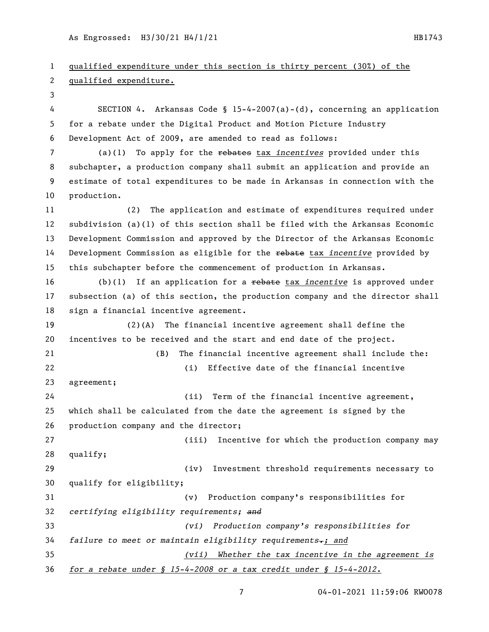As Engrossed: H3/30/21 H4/1/21 hbs = HB1743

 qualified expenditure under this section is thirty percent (30%) of the qualified expenditure. SECTION 4. Arkansas Code § 15-4-2007(a)-(d), concerning an application for a rebate under the Digital Product and Motion Picture Industry Development Act of 2009, are amended to read as follows: (a)(1) To apply for the rebates tax *incentives* provided under this subchapter, a production company shall submit an application and provide an estimate of total expenditures to be made in Arkansas in connection with the production. (2) The application and estimate of expenditures required under subdivision (a)(1) of this section shall be filed with the Arkansas Economic Development Commission and approved by the Director of the Arkansas Economic Development Commission as eligible for the rebate tax *incentive* provided by this subchapter before the commencement of production in Arkansas. (b)(1) If an application for a rebate tax *incentive* is approved under subsection (a) of this section, the production company and the director shall sign a financial incentive agreement. (2)(A) The financial incentive agreement shall define the incentives to be received and the start and end date of the project. (B) The financial incentive agreement shall include the: (i) Effective date of the financial incentive agreement; (ii) Term of the financial incentive agreement, which shall be calculated from the date the agreement is signed by the production company and the director; (iii) Incentive for which the production company may qualify; (iv) Investment threshold requirements necessary to qualify for eligibility; (v) Production company's responsibilities for *certifying eligibility requirements; and (vi) Production company's responsibilities for failure to meet or maintain eligibility requirements.; and (vii) Whether the tax incentive in the agreement is for a rebate under § 15-4-2008 or a tax credit under § 15-4-2012.*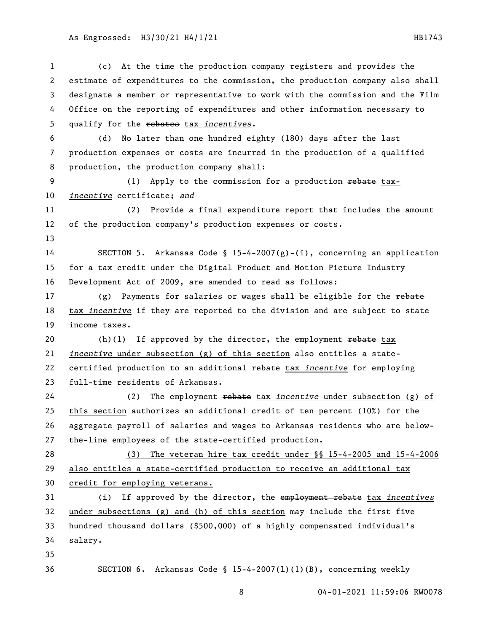As Engrossed: H3/30/21 H4/1/21 hB1743

 (c) At the time the production company registers and provides the estimate of expenditures to the commission, the production company also shall designate a member or representative to work with the commission and the Film Office on the reporting of expenditures and other information necessary to qualify for the rebates tax *incentives*. (d) No later than one hundred eighty (180) days after the last production expenses or costs are incurred in the production of a qualified production, the production company shall: (1) Apply to the commission for a production rebate tax- *incentive* certificate; *and* (2) Provide a final expenditure report that includes the amount of the production company's production expenses or costs*.* 14 SECTION 5. Arkansas Code § 15-4-2007(g)-(i), concerning an application for a tax credit under the Digital Product and Motion Picture Industry Development Act of 2009, are amended to read as follows: 17 (g) Payments for salaries or wages shall be eligible for the rebate tax *incentive* if they are reported to the division and are subject to state income taxes.  $(h)(1)$  If approved by the director, the employment rebate tax *incentive* under subsection (g) of this section also entitles a state- certified production to an additional rebate tax *incentive* for employing full-time residents of Arkansas. (2) The employment rebate tax *incentive* under subsection (g) of this section authorizes an additional credit of ten percent (10%) for the aggregate payroll of salaries and wages to Arkansas residents who are below- the-line employees of the state-certified production. (3) The veteran hire tax credit under §§ 15-4-2005 and 15-4-2006 also entitles a state-certified production to receive an additional tax credit for employing veterans. (i) If approved by the director, the employment rebate tax *incentives* under subsections (g) and (h) of this section may include the first five hundred thousand dollars (\$500,000) of a highly compensated individual's salary. SECTION 6. Arkansas Code § 15-4-2007(l)(1)(B), concerning weekly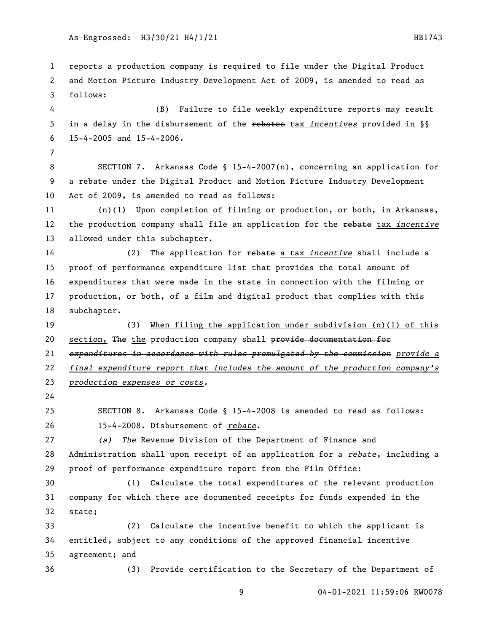reports a production company is required to file under the Digital Product and Motion Picture Industry Development Act of 2009, is amended to read as follows: (B) Failure to file weekly expenditure reports may result in a delay in the disbursement of the rebates tax *incentives* provided in §§ 15-4-2005 and 15-4-2006. SECTION 7. Arkansas Code § 15-4-2007(n), concerning an application for a rebate under the Digital Product and Motion Picture Industry Development Act of 2009, is amended to read as follows: (n)(1) Upon completion of filming or production, or both, in Arkansas, the production company shall file an application for the rebate tax *incentive* allowed under this subchapter. (2) The application for rebate a tax *incentive* shall include a proof of performance expenditure list that provides the total amount of expenditures that were made in the state in connection with the filming or production, or both, of a film and digital product that complies with this subchapter. (3) When filing the application under subdivision (n)(1) of this 20 section, The the production company shall provide documentation for *expenditures in accordance with rules promulgated by the commission provide a final expenditure report that includes the amount of the production company's production expenses or costs.* SECTION 8. Arkansas Code § 15-4-2008 is amended to read as follows: 15-4-2008. Disbursement of *rebate*. *(a) The* Revenue Division of the Department of Finance and Administration shall upon receipt of an application for a *rebate*, including a proof of performance expenditure report from the Film Office: (1) Calculate the total expenditures of the relevant production company for which there are documented receipts for funds expended in the state; (2) Calculate the incentive benefit to which the applicant is entitled, subject to any conditions of the approved financial incentive agreement; and (3) Provide certification to the Secretary of the Department of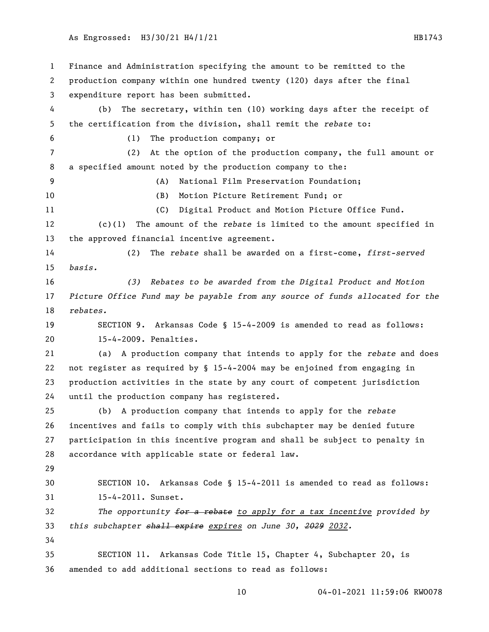#### As Engrossed: H3/30/21 H4/1/21 HB1743

 Finance and Administration specifying the amount to be remitted to the production company within one hundred twenty (120) days after the final expenditure report has been submitted. (b) The secretary, within ten (10) working days after the receipt of the certification from the division, shall remit the *rebate* to: (1) The production company; or (2) At the option of the production company, the full amount or a specified amount noted by the production company to the: (A) National Film Preservation Foundation; (B) Motion Picture Retirement Fund; or (C) Digital Product and Motion Picture Office Fund. (c)(1) The amount of the *rebate* is limited to the amount specified in the approved financial incentive agreement. (2) The *rebate* shall be awarded on a first-come, *first-served basis. (3) Rebates to be awarded from the Digital Product and Motion Picture Office Fund may be payable from any source of funds allocated for the rebates.* SECTION 9. Arkansas Code § 15-4-2009 is amended to read as follows: 15-4-2009. Penalties. (a) A production company that intends to apply for the *rebate* and does not register as required by § 15-4-2004 may be enjoined from engaging in production activities in the state by any court of competent jurisdiction until the production company has registered. (b) A production company that intends to apply for the *rebate* incentives and fails to comply with this subchapter may be denied future participation in this incentive program and shall be subject to penalty in accordance with applicable state or federal law. SECTION 10. Arkansas Code § 15-4-2011 is amended to read as follows: 15-4-2011. Sunset. *The opportunity for a rebate to apply for a tax incentive provided by this subchapter shall expire expires on June 30, 2029 2032.* SECTION 11. Arkansas Code Title 15, Chapter 4, Subchapter 20, is amended to add additional sections to read as follows: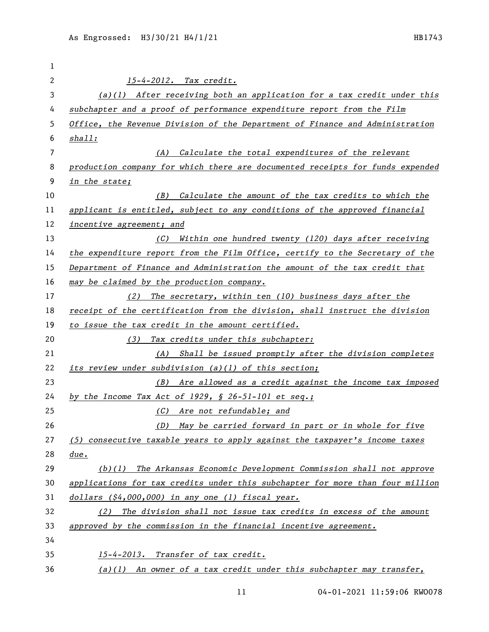| 1  |                                                                               |
|----|-------------------------------------------------------------------------------|
| 2  | 15-4-2012. Tax credit.                                                        |
| 3  | $(a)(1)$ After receiving both an application for a tax credit under this      |
| 4  | subchapter and a proof of performance expenditure report from the Film        |
| 5  | Office, the Revenue Division of the Department of Finance and Administration  |
| 6  | shall:                                                                        |
| 7  | Calculate the total expenditures of the relevant<br>(A)                       |
| 8  | production company for which there are documented receipts for funds expended |
| 9  | in the state;                                                                 |
| 10 | (B) Calculate the amount of the tax credits to which the                      |
| 11 | applicant is entitled, subject to any conditions of the approved financial    |
| 12 | incentive agreement; and                                                      |
| 13 | (C) Within one hundred twenty (120) days after receiving                      |
| 14 | the expenditure report from the Film Office, certify to the Secretary of the  |
| 15 | Department of Finance and Administration the amount of the tax credit that    |
| 16 | may be claimed by the production company.                                     |
| 17 | (2) The secretary, within ten (10) business days after the                    |
| 18 | receipt of the certification from the division, shall instruct the division   |
| 19 | to issue the tax credit in the amount certified.                              |
| 20 | Tax credits under this subchapter:<br>(3)                                     |
| 21 | (A) Shall be issued promptly after the division completes                     |
| 22 | its review under subdivision (a)(1) of this section;                          |
| 23 | (B) Are allowed as a credit against the income tax imposed                    |
| 24 | by the Income Tax Act of 1929, $\frac{6}{5}$ 26-51-101 et seq.;               |
| 25 | (C) Are not refundable; and                                                   |
| 26 | May be carried forward in part or in whole for five<br>(D)                    |
| 27 | (5) consecutive taxable years to apply against the taxpayer's income taxes    |
| 28 | due.                                                                          |
| 29 | $(b)(1)$ The Arkansas Economic Development Commission shall not approve       |
| 30 | applications for tax credits under this subchapter for more than four million |
| 31 | dollars (\$4,000,000) in any one (1) fiscal year.                             |
| 32 | (2) The division shall not issue tax credits in excess of the amount          |
| 33 | approved by the commission in the financial incentive agreement.              |
| 34 |                                                                               |
| 35 | 15-4-2013. Transfer of tax credit.                                            |
| 36 | $(a)(1)$ An owner of a tax credit under this subchapter may transfer,         |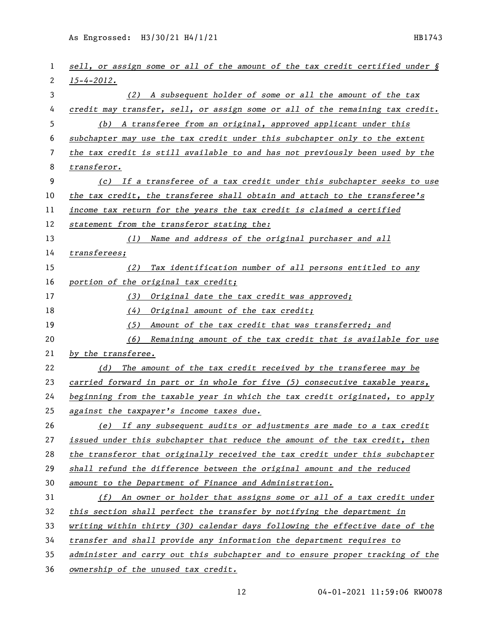As Engrossed: H3/30/21 H4/1/21 HB1743

| 1  | sell, or assign some or all of the amount of the tax credit certified under § |
|----|-------------------------------------------------------------------------------|
| 2  | $15 - 4 - 2012$ .                                                             |
| 3  | (2) A subsequent holder of some or all the amount of the tax                  |
| 4  | credit may transfer, sell, or assign some or all of the remaining tax credit. |
| 5  | (b) A transferee from an original, approved applicant under this              |
| 6  | subchapter may use the tax credit under this subchapter only to the extent    |
| 7  | the tax credit is still available to and has not previously been used by the  |
| 8  | transferor.                                                                   |
| 9  | (c) If a transferee of a tax credit under this subchapter seeks to use        |
| 10 | the tax credit, the transferee shall obtain and attach to the transferee's    |
| 11 | income tax return for the years the tax credit is claimed a certified         |
| 12 | statement from the transferor stating the:                                    |
| 13 | (1) Name and address of the original purchaser and all                        |
| 14 | transferees;                                                                  |
| 15 | (2) Tax identification number of all persons entitled to any                  |
| 16 | portion of the original tax credit;                                           |
| 17 | (3) Original date the tax credit was approved;                                |
| 18 | (4) Original amount of the tax credit;                                        |
| 19 | (5)<br>Amount of the tax credit that was transferred; and                     |
| 20 | (6) Remaining amount of the tax credit that is available for use              |
| 21 | by the transferee.                                                            |
| 22 | (d) The amount of the tax credit received by the transferee may be            |
| 23 | carried forward in part or in whole for five (5) consecutive taxable years,   |
| 24 | beginning from the taxable year in which the tax credit originated, to apply  |
| 25 | against the taxpayer's income taxes due.                                      |
| 26 | (e) If any subsequent audits or adjustments are made to a tax credit          |
| 27 | issued under this subchapter that reduce the amount of the tax credit, then   |
| 28 | the transferor that originally received the tax credit under this subchapter  |
| 29 | shall refund the difference between the original amount and the reduced       |
| 30 | amount to the Department of Finance and Administration.                       |
| 31 | (f) An owner or holder that assigns some or all of a tax credit under         |
| 32 | this section shall perfect the transfer by notifying the department in        |
| 33 | writing within thirty (30) calendar days following the effective date of the  |
| 34 | transfer and shall provide any information the department requires to         |
| 35 | administer and carry out this subchapter and to ensure proper tracking of the |
| 36 | ownership of the unused tax credit.                                           |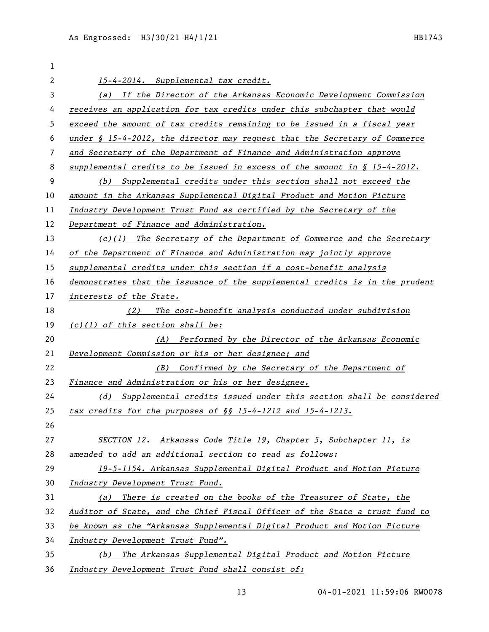| 1  |                                                                               |
|----|-------------------------------------------------------------------------------|
| 2  | 15-4-2014. Supplemental tax credit.                                           |
| 3  | (a) If the Director of the Arkansas Economic Development Commission           |
| 4  | receives an application for tax credits under this subchapter that would      |
| 5  | exceed the amount of tax credits remaining to be issued in a fiscal year      |
| 6  | under $\S$ 15-4-2012, the director may request that the Secretary of Commerce |
| 7  | and Secretary of the Department of Finance and Administration approve         |
| 8  | supplemental credits to be issued in excess of the amount in $\S$ 15-4-2012.  |
| 9  | (b) Supplemental credits under this section shall not exceed the              |
| 10 | amount in the Arkansas Supplemental Digital Product and Motion Picture        |
| 11 | Industry Development Trust Fund as certified by the Secretary of the          |
| 12 | Department of Finance and Administration.                                     |
| 13 | $(c)(1)$ The Secretary of the Department of Commerce and the Secretary        |
| 14 | of the Department of Finance and Administration may jointly approve           |
| 15 | supplemental credits under this section if a cost-benefit analysis            |
| 16 | demonstrates that the issuance of the supplemental credits is in the prudent  |
| 17 | interests of the State.                                                       |
| 18 | The cost-benefit analysis conducted under subdivision<br>(2)                  |
| 19 | $(c)(1)$ of this section shall be:                                            |
| 20 | (A) Performed by the Director of the Arkansas Economic                        |
| 21 | Development Commission or his or her designee; and                            |
| 22 | Confirmed by the Secretary of the Department of<br>(B)                        |
| 23 | Finance and Administration or his or her designee.                            |
| 24 | (d) Supplemental credits issued under this section shall be considered        |
| 25 | tax credits for the purposes of §§ 15-4-1212 and 15-4-1213.                   |
| 26 |                                                                               |
| 27 | SECTION 12. Arkansas Code Title 19, Chapter 5, Subchapter 11, is              |
| 28 | amended to add an additional section to read as follows:                      |
| 29 | 19-5-1154. Arkansas Supplemental Digital Product and Motion Picture           |
| 30 | Industry Development Trust Fund.                                              |
| 31 | There is created on the books of the Treasurer of State, the<br>(a)           |
| 32 | Auditor of State, and the Chief Fiscal Officer of the State a trust fund to   |
| 33 | be known as the "Arkansas Supplemental Digital Product and Motion Picture     |
| 34 | Industry Development Trust Fund".                                             |
| 35 | The Arkansas Supplemental Digital Product and Motion Picture<br>(b)           |
| 36 | Industry Development Trust Fund shall consist of:                             |